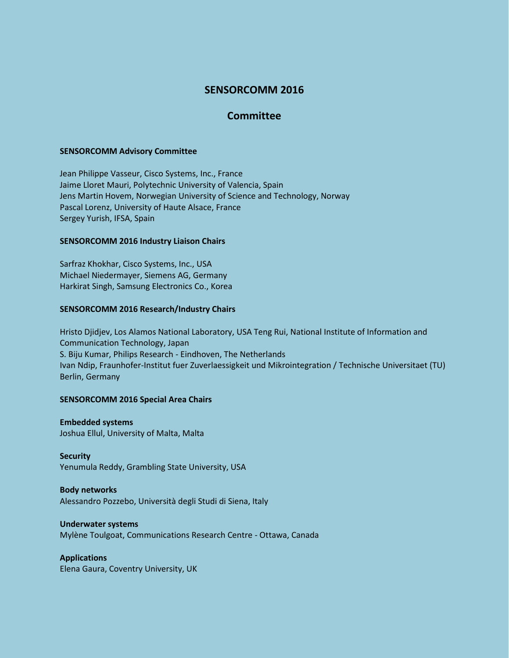# **SENSORCOMM 2016**

# **Committee**

### **SENSORCOMM Advisory Committee**

Jean Philippe Vasseur, Cisco Systems, Inc., France Jaime Lloret Mauri, Polytechnic University of Valencia, Spain Jens Martin Hovem, Norwegian University of Science and Technology, Norway Pascal Lorenz, University of Haute Alsace, France Sergey Yurish, IFSA, Spain

## **SENSORCOMM 2016 Industry Liaison Chairs**

Sarfraz Khokhar, Cisco Systems, Inc., USA Michael Niedermayer, Siemens AG, Germany Harkirat Singh, Samsung Electronics Co., Korea

## **SENSORCOMM 2016 Research/Industry Chairs**

Hristo Djidjev, Los Alamos National Laboratory, USA Teng Rui, National Institute of Information and Communication Technology, Japan S. Biju Kumar, Philips Research - Eindhoven, The Netherlands Ivan Ndip, Fraunhofer-Institut fuer Zuverlaessigkeit und Mikrointegration / Technische Universitaet (TU) Berlin, Germany

# **SENSORCOMM 2016 Special Area Chairs**

**Embedded systems** Joshua Ellul, University of Malta, Malta

**Security** Yenumula Reddy, Grambling State University, USA

# **Body networks**

Alessandro Pozzebo, Università degli Studi di Siena, Italy

#### **Underwater systems**

Mylène Toulgoat, Communications Research Centre - Ottawa, Canada

# **Applications**

Elena Gaura, Coventry University, UK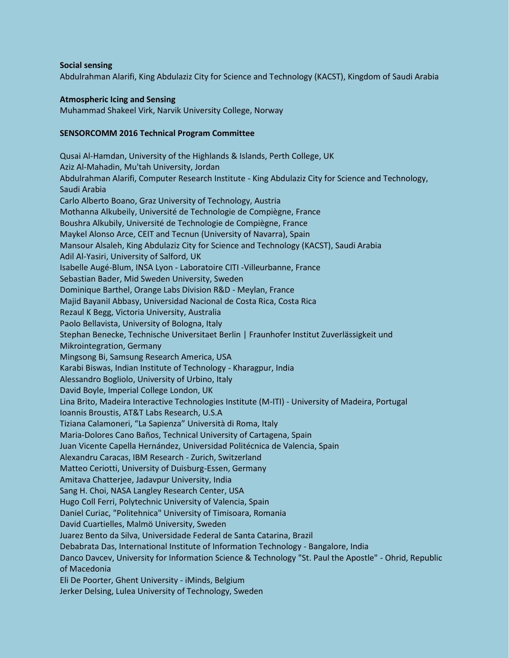### **Social sensing**

Abdulrahman Alarifi, King Abdulaziz City for Science and Technology (KACST), Kingdom of Saudi Arabia

## **Atmospheric Icing and Sensing**

Muhammad Shakeel Virk, Narvik University College, Norway

# **SENSORCOMM 2016 Technical Program Committee**

Qusai Al-Hamdan, University of the Highlands & Islands, Perth College, UK Aziz Al-Mahadin, Mu'tah University, Jordan Abdulrahman Alarifi, Computer Research Institute - King Abdulaziz City for Science and Technology, Saudi Arabia Carlo Alberto Boano, Graz University of Technology, Austria Mothanna Alkubeily, Université de Technologie de Compiègne, France Boushra Alkubily, Université de Technologie de Compiègne, France Maykel Alonso Arce, CEIT and Tecnun (University of Navarra), Spain Mansour Alsaleh, King Abdulaziz City for Science and Technology (KACST), Saudi Arabia Adil Al-Yasiri, University of Salford, UK Isabelle Augé-Blum, INSA Lyon - Laboratoire CITI -Villeurbanne, France Sebastian Bader, Mid Sweden University, Sweden Dominique Barthel, Orange Labs Division R&D - Meylan, France Majid BayaniI Abbasy, Universidad Nacional de Costa Rica, Costa Rica Rezaul K Begg, Victoria University, Australia Paolo Bellavista, University of Bologna, Italy Stephan Benecke, Technische Universitaet Berlin | Fraunhofer Institut Zuverlässigkeit und Mikrointegration, Germany Mingsong Bi, Samsung Research America, USA Karabi Biswas, Indian Institute of Technology - Kharagpur, India Alessandro Bogliolo, University of Urbino, Italy David Boyle, Imperial College London, UK Lina Brito, Madeira Interactive Technologies Institute (M-ITI) - University of Madeira, Portugal Ioannis Broustis, AT&T Labs Research, U.S.A Tiziana Calamoneri, "La Sapienza" Università di Roma, Italy Maria-Dolores Cano Baños, Technical University of Cartagena, Spain Juan Vicente Capella Hernández, Universidad Politécnica de Valencia, Spain Alexandru Caracas, IBM Research - Zurich, Switzerland Matteo Ceriotti, University of Duisburg-Essen, Germany Amitava Chatterjee, Jadavpur University, India Sang H. Choi, NASA Langley Research Center, USA Hugo Coll Ferri, Polytechnic University of Valencia, Spain Daniel Curiac, "Politehnica" University of Timisoara, Romania David Cuartielles, Malmö University, Sweden Juarez Bento da Silva, Universidade Federal de Santa Catarina, Brazil Debabrata Das, International Institute of Information Technology - Bangalore, India Danco Davcev, University for Information Science & Technology "St. Paul the Apostle" - Ohrid, Republic of Macedonia Eli De Poorter, Ghent University - iMinds, Belgium Jerker Delsing, Lulea University of Technology, Sweden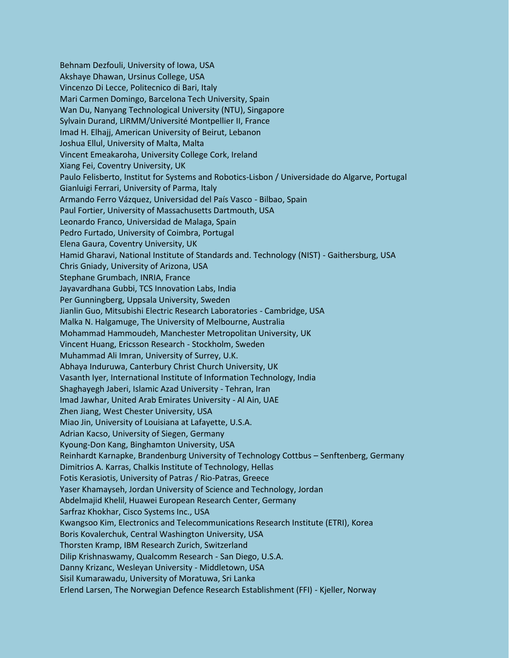Behnam Dezfouli, University of Iowa, USA Akshaye Dhawan, Ursinus College, USA Vincenzo Di Lecce, Politecnico di Bari, Italy Mari Carmen Domingo, Barcelona Tech University, Spain Wan Du, Nanyang Technological University (NTU), Singapore Sylvain Durand, LIRMM/Université Montpellier II, France Imad H. Elhajj, American University of Beirut, Lebanon Joshua Ellul, University of Malta, Malta Vincent Emeakaroha, University College Cork, Ireland Xiang Fei, Coventry University, UK Paulo Felisberto, Institut for Systems and Robotics-Lisbon / Universidade do Algarve, Portugal Gianluigi Ferrari, University of Parma, Italy Armando Ferro Vázquez, Universidad del País Vasco - Bilbao, Spain Paul Fortier, University of Massachusetts Dartmouth, USA Leonardo Franco, Universidad de Malaga, Spain Pedro Furtado, University of Coimbra, Portugal Elena Gaura, Coventry University, UK Hamid Gharavi, National Institute of Standards and. Technology (NIST) - Gaithersburg, USA Chris Gniady, University of Arizona, USA Stephane Grumbach, INRIA, France Jayavardhana Gubbi, TCS Innovation Labs, India Per Gunningberg, Uppsala University, Sweden Jianlin Guo, Mitsubishi Electric Research Laboratories - Cambridge, USA Malka N. Halgamuge, The University of Melbourne, Australia Mohammad Hammoudeh, Manchester Metropolitan University, UK Vincent Huang, Ericsson Research - Stockholm, Sweden Muhammad Ali Imran, University of Surrey, U.K. Abhaya Induruwa, Canterbury Christ Church University, UK Vasanth Iyer, International Institute of Information Technology, India Shaghayegh Jaberi, Islamic Azad University - Tehran, Iran Imad Jawhar, United Arab Emirates University - Al Ain, UAE Zhen Jiang, West Chester University, USA Miao Jin, University of Louisiana at Lafayette, U.S.A. Adrian Kacso, University of Siegen, Germany Kyoung-Don Kang, Binghamton University, USA Reinhardt Karnapke, Brandenburg University of Technology Cottbus – Senftenberg, Germany Dimitrios A. Karras, Chalkis Institute of Technology, Hellas Fotis Kerasiotis, University of Patras / Rio-Patras, Greece Yaser Khamayseh, Jordan University of Science and Technology, Jordan Abdelmajid Khelil, Huawei European Research Center, Germany Sarfraz Khokhar, Cisco Systems Inc., USA Kwangsoo Kim, Electronics and Telecommunications Research Institute (ETRI), Korea Boris Kovalerchuk, Central Washington University, USA Thorsten Kramp, IBM Research Zurich, Switzerland Dilip Krishnaswamy, Qualcomm Research - San Diego, U.S.A. Danny Krizanc, Wesleyan University - Middletown, USA Sisil Kumarawadu, University of Moratuwa, Sri Lanka Erlend Larsen, The Norwegian Defence Research Establishment (FFI) - Kjeller, Norway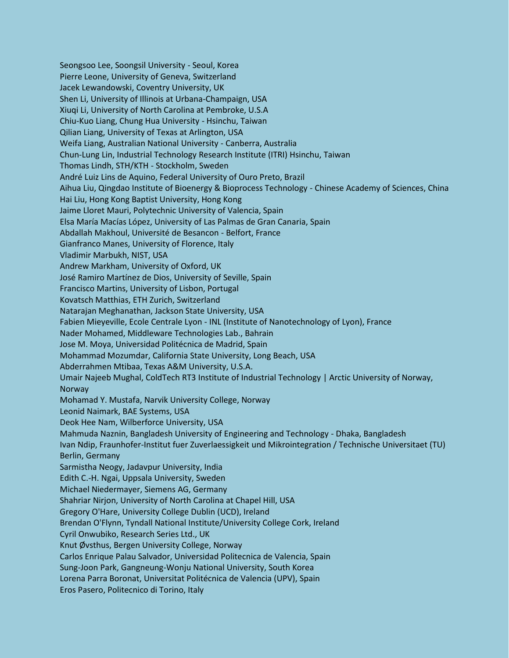Seongsoo Lee, Soongsil University - Seoul, Korea Pierre Leone, University of Geneva, Switzerland Jacek Lewandowski, Coventry University, UK Shen Li, University of Illinois at Urbana-Champaign, USA Xiuqi Li, University of North Carolina at Pembroke, U.S.A Chiu-Kuo Liang, Chung Hua University - Hsinchu, Taiwan Qilian Liang, University of Texas at Arlington, USA Weifa Liang, Australian National University - Canberra, Australia Chun-Lung Lin, Industrial Technology Research Institute (ITRI) Hsinchu, Taiwan Thomas Lindh, STH/KTH - Stockholm, Sweden André Luiz Lins de Aquino, Federal University of Ouro Preto, Brazil Aihua Liu, Qingdao Institute of Bioenergy & Bioprocess Technology - Chinese Academy of Sciences, China Hai Liu, Hong Kong Baptist University, Hong Kong Jaime Lloret Mauri, Polytechnic University of Valencia, Spain Elsa María Macías López, University of Las Palmas de Gran Canaria, Spain Abdallah Makhoul, Université de Besancon - Belfort, France Gianfranco Manes, University of Florence, Italy Vladimir Marbukh, NIST, USA Andrew Markham, University of Oxford, UK José Ramiro Martínez de Dios, University of Seville, Spain Francisco Martins, University of Lisbon, Portugal Kovatsch Matthias, ETH Zurich, Switzerland Natarajan Meghanathan, Jackson State University, USA Fabien Mieyeville, Ecole Centrale Lyon - INL (Institute of Nanotechnology of Lyon), France Nader Mohamed, Middleware Technologies Lab., Bahrain Jose M. Moya, Universidad Politécnica de Madrid, Spain Mohammad Mozumdar, California State University, Long Beach, USA Abderrahmen Mtibaa, Texas A&M University, U.S.A. Umair Najeeb Mughal, ColdTech RT3 Institute of Industrial Technology | Arctic University of Norway, Norway Mohamad Y. Mustafa, Narvik University College, Norway Leonid Naimark, BAE Systems, USA Deok Hee Nam, Wilberforce University, USA Mahmuda Naznin, Bangladesh University of Engineering and Technology - Dhaka, Bangladesh Ivan Ndip, Fraunhofer-Institut fuer Zuverlaessigkeit und Mikrointegration / Technische Universitaet (TU) Berlin, Germany Sarmistha Neogy, Jadavpur University, India Edith C.-H. Ngai, Uppsala University, Sweden Michael Niedermayer, Siemens AG, Germany Shahriar Nirjon, University of North Carolina at Chapel Hill, USA Gregory O'Hare, University College Dublin (UCD), Ireland Brendan O'Flynn, Tyndall National Institute/University College Cork, Ireland Cyril Onwubiko, Research Series Ltd., UK Knut Øvsthus, Bergen University College, Norway Carlos Enrique Palau Salvador, Universidad Politecnica de Valencia, Spain Sung-Joon Park, Gangneung-Wonju National University, South Korea Lorena Parra Boronat, Universitat Politécnica de Valencia (UPV), Spain Eros Pasero, Politecnico di Torino, Italy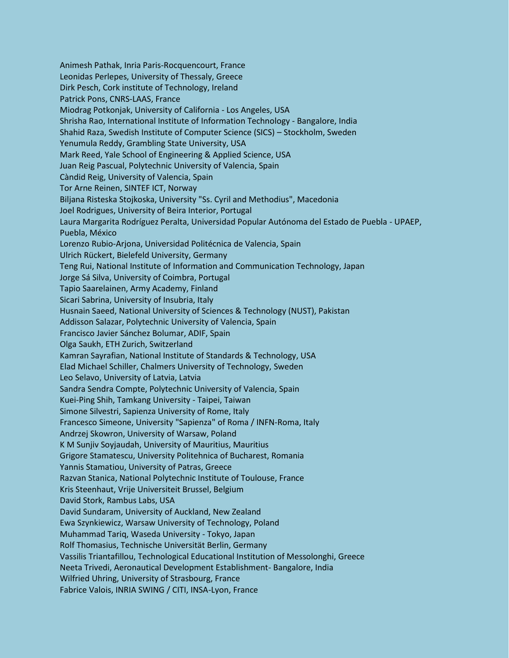Animesh Pathak, Inria Paris-Rocquencourt, France Leonidas Perlepes, University of Thessaly, Greece Dirk Pesch, Cork institute of Technology, Ireland Patrick Pons, CNRS-LAAS, France Miodrag Potkonjak, University of California - Los Angeles, USA Shrisha Rao, International Institute of Information Technology - Bangalore, India Shahid Raza, Swedish Institute of Computer Science (SICS) – Stockholm, Sweden Yenumula Reddy, Grambling State University, USA Mark Reed, Yale School of Engineering & Applied Science, USA Juan Reig Pascual, Polytechnic University of Valencia, Spain Càndid Reig, University of Valencia, Spain Tor Arne Reinen, SINTEF ICT, Norway Biljana Risteska Stojkoska, University "Ss. Cyril and Methodius", Macedonia Joel Rodrigues, University of Beira Interior, Portugal Laura Margarita Rodríguez Peralta, Universidad Popular Autónoma del Estado de Puebla - UPAEP, Puebla, México Lorenzo Rubio-Arjona, Universidad Politécnica de Valencia, Spain Ulrich Rückert, Bielefeld University, Germany Teng Rui, National Institute of Information and Communication Technology, Japan Jorge Sá Silva, University of Coimbra, Portugal Tapio Saarelainen, Army Academy, Finland Sicari Sabrina, University of Insubria, Italy Husnain Saeed, National University of Sciences & Technology (NUST), Pakistan Addisson Salazar, Polytechnic University of Valencia, Spain Francisco Javier Sánchez Bolumar, ADIF, Spain Olga Saukh, ETH Zurich, Switzerland Kamran Sayrafian, National Institute of Standards & Technology, USA Elad Michael Schiller, Chalmers University of Technology, Sweden Leo Selavo, University of Latvia, Latvia Sandra Sendra Compte, Polytechnic University of Valencia, Spain Kuei-Ping Shih, Tamkang University - Taipei, Taiwan Simone Silvestri, Sapienza University of Rome, Italy Francesco Simeone, University "Sapienza" of Roma / INFN-Roma, Italy Andrzej Skowron, University of Warsaw, Poland K M Sunjiv Soyjaudah, University of Mauritius, Mauritius Grigore Stamatescu, University Politehnica of Bucharest, Romania Yannis Stamatiou, University of Patras, Greece Razvan Stanica, National Polytechnic Institute of Toulouse, France Kris Steenhaut, Vrije Universiteit Brussel, Belgium David Stork, Rambus Labs, USA David Sundaram, University of Auckland, New Zealand Ewa Szynkiewicz, Warsaw University of Technology, Poland Muhammad Tariq, Waseda University - Tokyo, Japan Rolf Thomasius, Technische Universität Berlin, Germany Vassilis Triantafillou, Technological Educational Institution of Messolonghi, Greece Neeta Trivedi, Aeronautical Development Establishment- Bangalore, India Wilfried Uhring, University of Strasbourg, France Fabrice Valois, INRIA SWING / CITI, INSA-Lyon, France